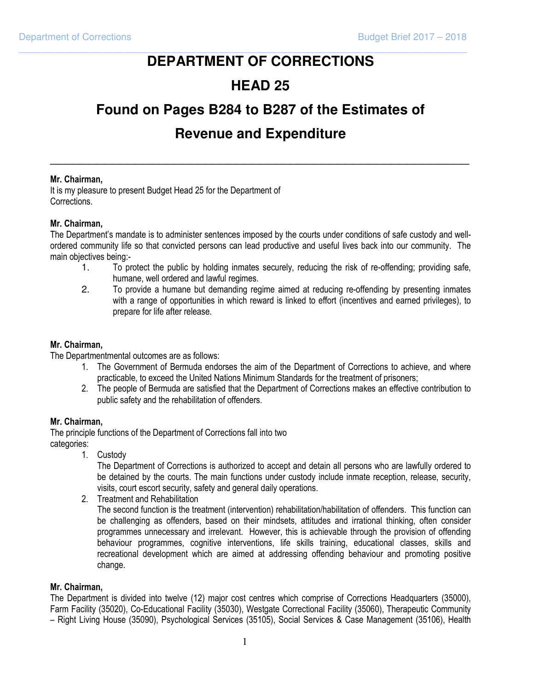# **DEPARTMENT OF CORRECTIONS**

\_\_\_\_\_\_\_\_\_\_\_\_\_\_\_\_\_\_\_\_\_\_\_\_\_\_\_\_\_\_\_\_\_\_\_\_\_\_\_\_\_\_\_\_\_\_\_\_\_\_\_\_\_\_\_\_\_\_\_\_\_\_\_\_\_\_\_\_\_\_\_\_\_\_\_\_\_\_\_\_\_\_\_\_

## **HEAD 25**

## **Found on Pages B284 to B287 of the Estimates of**

## **Revenue and Expenditure**

\_\_\_\_\_\_\_\_\_\_\_\_\_\_\_\_\_\_\_\_\_\_\_\_\_\_\_\_\_\_\_\_\_\_\_\_\_\_\_\_\_\_\_\_\_\_\_\_\_\_\_\_\_\_

#### Mr. Chairman,

It is my pleasure to present Budget Head 25 for the Department of Corrections.

#### Mr. Chairman,

The Department's mandate is to administer sentences imposed by the courts under conditions of safe custody and wellordered community life so that convicted persons can lead productive and useful lives back into our community. The main objectives being:-

- 1. To protect the public by holding inmates securely, reducing the risk of re-offending; providing safe, humane, well ordered and lawful regimes.
- 2. To provide a humane but demanding regime aimed at reducing re-offending by presenting inmates with a range of opportunities in which reward is linked to effort (incentives and earned privileges), to prepare for life after release.

#### Mr. Chairman,

The Departmentmental outcomes are as follows:

- 1. The Government of Bermuda endorses the aim of the Department of Corrections to achieve, and where practicable, to exceed the United Nations Minimum Standards for the treatment of prisoners;
- 2. The people of Bermuda are satisfied that the Department of Corrections makes an effective contribution to public safety and the rehabilitation of offenders.

#### Mr. Chairman,

The principle functions of the Department of Corrections fall into two categories:

1. Custody

The Department of Corrections is authorized to accept and detain all persons who are lawfully ordered to be detained by the courts. The main functions under custody include inmate reception, release, security, visits, court escort security, safety and general daily operations.

2. Treatment and Rehabilitation

The second function is the treatment (intervention) rehabilitation/habilitation of offenders. This function can be challenging as offenders, based on their mindsets, attitudes and irrational thinking, often consider programmes unnecessary and irrelevant. However, this is achievable through the provision of offending behaviour programmes, cognitive interventions, life skills training, educational classes, skills and recreational development which are aimed at addressing offending behaviour and promoting positive change.

#### Mr. Chairman,

The Department is divided into twelve (12) major cost centres which comprise of Corrections Headquarters (35000), Farm Facility (35020), Co-Educational Facility (35030), Westgate Correctional Facility (35060), Therapeutic Community – Right Living House (35090), Psychological Services (35105), Social Services & Case Management (35106), Health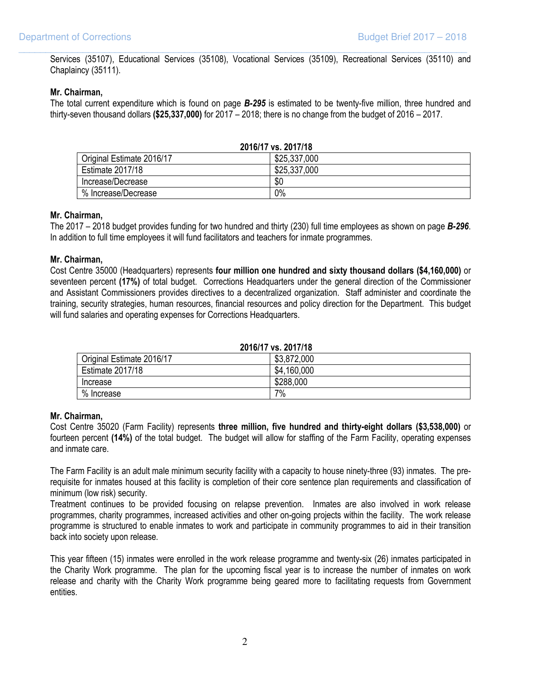Services (35107), Educational Services (35108), Vocational Services (35109), Recreational Services (35110) and Chaplaincy (35111).

\_\_\_\_\_\_\_\_\_\_\_\_\_\_\_\_\_\_\_\_\_\_\_\_\_\_\_\_\_\_\_\_\_\_\_\_\_\_\_\_\_\_\_\_\_\_\_\_\_\_\_\_\_\_\_\_\_\_\_\_\_\_\_\_\_\_\_\_\_\_\_\_\_\_\_\_\_\_\_\_\_\_\_\_

#### Mr. Chairman,

The total current expenditure which is found on page B-295 is estimated to be twenty-five million, three hundred and thirty-seven thousand dollars (\$25,337,000) for 2017 – 2018; there is no change from the budget of 2016 – 2017.

| 2016/17 vs. 2017/18       |              |  |
|---------------------------|--------------|--|
| Original Estimate 2016/17 | \$25,337,000 |  |
| <b>Estimate 2017/18</b>   | \$25,337,000 |  |
| Increase/Decrease         | \$0          |  |
| % Increase/Decrease       | 0%           |  |

#### Mr. Chairman,

The 2017 – 2018 budget provides funding for two hundred and thirty (230) full time employees as shown on page B-296. In addition to full time employees it will fund facilitators and teachers for inmate programmes.

#### Mr. Chairman,

Cost Centre 35000 (Headquarters) represents four million one hundred and sixty thousand dollars (\$4,160,000) or seventeen percent (17%) of total budget. Corrections Headquarters under the general direction of the Commissioner and Assistant Commissioners provides directives to a decentralized organization. Staff administer and coordinate the training, security strategies, human resources, financial resources and policy direction for the Department. This budget will fund salaries and operating expenses for Corrections Headquarters.

2016/17 vs. 2017/18

| Original Estimate 2016/17 | \$3,872,000 |
|---------------------------|-------------|
| <b>Estimate 2017/18</b>   | \$4,160,000 |
| Increase                  | \$288,000   |
| % Increase                | 7%          |

#### Mr. Chairman,

Cost Centre 35020 (Farm Facility) represents three million, five hundred and thirty-eight dollars (\$3,538,000) or fourteen percent (14%) of the total budget. The budget will allow for staffing of the Farm Facility, operating expenses and inmate care.

 The Farm Facility is an adult male minimum security facility with a capacity to house ninety-three (93) inmates. The prerequisite for inmates housed at this facility is completion of their core sentence plan requirements and classification of minimum (low risk) security.

 Treatment continues to be provided focusing on relapse prevention. Inmates are also involved in work release programmes, charity programmes, increased activities and other on-going projects within the facility. The work release programme is structured to enable inmates to work and participate in community programmes to aid in their transition back into society upon release.

 This year fifteen (15) inmates were enrolled in the work release programme and twenty-six (26) inmates participated in the Charity Work programme. The plan for the upcoming fiscal year is to increase the number of inmates on work release and charity with the Charity Work programme being geared more to facilitating requests from Government entities.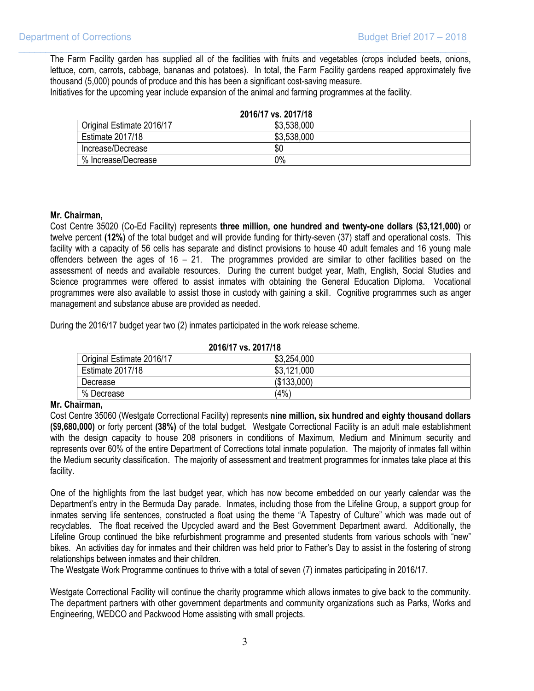The Farm Facility garden has supplied all of the facilities with fruits and vegetables (crops included beets, onions, lettuce, corn, carrots, cabbage, bananas and potatoes). In total, the Farm Facility gardens reaped approximately five thousand (5,000) pounds of produce and this has been a significant cost-saving measure.

\_\_\_\_\_\_\_\_\_\_\_\_\_\_\_\_\_\_\_\_\_\_\_\_\_\_\_\_\_\_\_\_\_\_\_\_\_\_\_\_\_\_\_\_\_\_\_\_\_\_\_\_\_\_\_\_\_\_\_\_\_\_\_\_\_\_\_\_\_\_\_\_\_\_\_\_\_\_\_\_\_\_\_\_

Initiatives for the upcoming year include expansion of the animal and farming programmes at the facility.

| 2016/17 vs. 2017/18       |             |
|---------------------------|-------------|
| Original Estimate 2016/17 | \$3,538,000 |
| <b>Estimate 2017/18</b>   | \$3,538,000 |
| Increase/Decrease         | \$0         |
| % Increase/Decrease       | 0%          |

#### Mr. Chairman,

 Cost Centre 35020 (Co-Ed Facility) represents three million, one hundred and twenty-one dollars (\$3,121,000) or twelve percent (12%) of the total budget and will provide funding for thirty-seven (37) staff and operational costs. This facility with a capacity of 56 cells has separate and distinct provisions to house 40 adult females and 16 young male offenders between the ages of 16 – 21. The programmes provided are similar to other facilities based on the assessment of needs and available resources. During the current budget year, Math, English, Social Studies and Science programmes were offered to assist inmates with obtaining the General Education Diploma. Vocational programmes were also available to assist those in custody with gaining a skill. Cognitive programmes such as anger management and substance abuse are provided as needed.

During the 2016/17 budget year two (2) inmates participated in the work release scheme.

| 2016/17 vs. 2017/18       |             |
|---------------------------|-------------|
| Original Estimate 2016/17 | \$3,254,000 |
| <b>Estimate 2017/18</b>   | \$3,121,000 |
| Decrease                  | (\$133,000) |
| % Decrease                | (4%         |

## 2016/17 vs. 2017/18

#### Mr. Chairman,

Cost Centre 35060 (Westgate Correctional Facility) represents nine million, six hundred and eighty thousand dollars (\$9,680,000) or forty percent (38%) of the total budget. Westgate Correctional Facility is an adult male establishment with the design capacity to house 208 prisoners in conditions of Maximum, Medium and Minimum security and represents over 60% of the entire Department of Corrections total inmate population. The majority of inmates fall within the Medium security classification. The majority of assessment and treatment programmes for inmates take place at this facility.

 One of the highlights from the last budget year, which has now become embedded on our yearly calendar was the Department's entry in the Bermuda Day parade. Inmates, including those from the Lifeline Group, a support group for inmates serving life sentences, constructed a float using the theme "A Tapestry of Culture" which was made out of recyclables. The float received the Upcycled award and the Best Government Department award. Additionally, the Lifeline Group continued the bike refurbishment programme and presented students from various schools with "new" bikes. An activities day for inmates and their children was held prior to Father's Day to assist in the fostering of strong relationships between inmates and their children.

The Westgate Work Programme continues to thrive with a total of seven (7) inmates participating in 2016/17.

 Westgate Correctional Facility will continue the charity programme which allows inmates to give back to the community. The department partners with other government departments and community organizations such as Parks, Works and Engineering, WEDCO and Packwood Home assisting with small projects.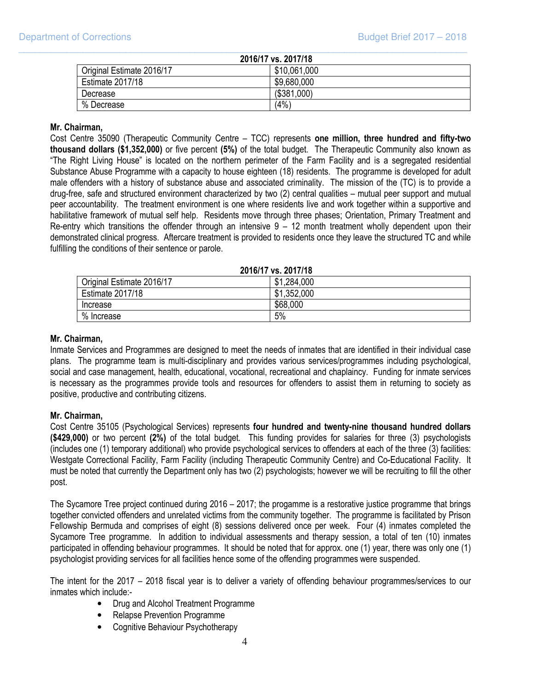| 2016/17 vs. 2017/18       |              |
|---------------------------|--------------|
| Original Estimate 2016/17 | \$10,061,000 |
| Estimate 2017/18          | \$9,680,000  |
| Decrease                  | (\$381,000)  |
| % Decrease                | (4%          |

\_\_\_\_\_\_\_\_\_\_\_\_\_\_\_\_\_\_\_\_\_\_\_\_\_\_\_\_\_\_\_\_\_\_\_\_\_\_\_\_\_\_\_\_\_\_\_\_\_\_\_\_\_\_\_\_\_\_\_\_\_\_\_\_\_\_\_\_\_\_\_\_\_\_\_\_\_\_\_\_\_\_\_\_

#### Mr. Chairman,

Cost Centre 35090 (Therapeutic Community Centre – TCC) represents one million, three hundred and fifty-two thousand dollars (\$1,352,000) or five percent (5%) of the total budget. The Therapeutic Community also known as "The Right Living House" is located on the northern perimeter of the Farm Facility and is a segregated residential Substance Abuse Programme with a capacity to house eighteen (18) residents. The programme is developed for adult male offenders with a history of substance abuse and associated criminality. The mission of the (TC) is to provide a drug-free, safe and structured environment characterized by two (2) central qualities – mutual peer support and mutual peer accountability. The treatment environment is one where residents live and work together within a supportive and habilitative framework of mutual self help. Residents move through three phases; Orientation, Primary Treatment and Re-entry which transitions the offender through an intensive  $9 - 12$  month treatment wholly dependent upon their demonstrated clinical progress. Aftercare treatment is provided to residents once they leave the structured TC and while fulfilling the conditions of their sentence or parole.

# 2016/17 vs. 2017/18

| Original Estimate 2016/17 | .284,000<br>\$1 |
|---------------------------|-----------------|
| <b>Estimate 2017/18</b>   | ,352,000<br>\$1 |
| Increase                  | \$68,000        |
| $\%$<br>Increase          | 5%              |

#### Mr. Chairman,

 Inmate Services and Programmes are designed to meet the needs of inmates that are identified in their individual case plans. The programme team is multi-disciplinary and provides various services/programmes including psychological, social and case management, health, educational, vocational, recreational and chaplaincy. Funding for inmate services is necessary as the programmes provide tools and resources for offenders to assist them in returning to society as positive, productive and contributing citizens.

#### Mr. Chairman,

 Cost Centre 35105 (Psychological Services) represents four hundred and twenty-nine thousand hundred dollars (\$429,000) or two percent (2%) of the total budget. This funding provides for salaries for three (3) psychologists (includes one (1) temporary additional) who provide psychological services to offenders at each of the three (3) facilities: Westgate Correctional Facility, Farm Facility (including Therapeutic Community Centre) and Co-Educational Facility. It must be noted that currently the Department only has two (2) psychologists; however we will be recruiting to fill the other post.

 The Sycamore Tree project continued during 2016 – 2017; the progamme is a restorative justice programme that brings together convicted offenders and unrelated victims from the community together. The programme is facilitated by Prison Fellowship Bermuda and comprises of eight (8) sessions delivered once per week. Four (4) inmates completed the Sycamore Tree programme. In addition to individual assessments and therapy session, a total of ten (10) inmates participated in offending behaviour programmes. It should be noted that for approx. one (1) year, there was only one (1) psychologist providing services for all facilities hence some of the offending programmes were suspended.

 The intent for the 2017 – 2018 fiscal year is to deliver a variety of offending behaviour programmes/services to our inmates which include:-

- Drug and Alcohol Treatment Programme
- Relapse Prevention Programme
- Cognitive Behaviour Psychotherapy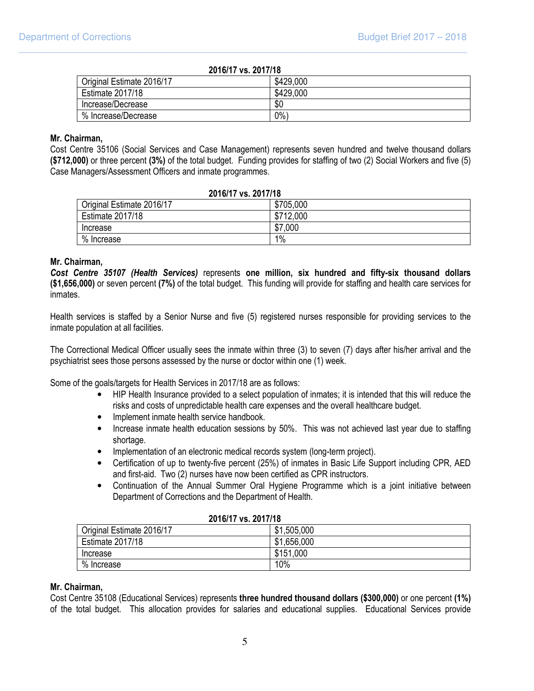| 2016/17 vs. 2017/18       |           |
|---------------------------|-----------|
| Original Estimate 2016/17 | \$429,000 |
| Estimate 2017/18          | \$429,000 |
| Increase/Decrease         | \$0       |
| % Increase/Decrease       | $0\%$     |

\_\_\_\_\_\_\_\_\_\_\_\_\_\_\_\_\_\_\_\_\_\_\_\_\_\_\_\_\_\_\_\_\_\_\_\_\_\_\_\_\_\_\_\_\_\_\_\_\_\_\_\_\_\_\_\_\_\_\_\_\_\_\_\_\_\_\_\_\_\_\_\_\_\_\_\_\_\_\_\_\_\_\_\_

#### Mr. Chairman,

 Cost Centre 35106 (Social Services and Case Management) represents seven hundred and twelve thousand dollars (\$712,000) or three percent (3%) of the total budget. Funding provides for staffing of two (2) Social Workers and five (5) Case Managers/Assessment Officers and inmate programmes.

| 2016/17 vs. 2017/18       |           |
|---------------------------|-----------|
| Original Estimate 2016/17 | \$705,000 |
| Estimate 2017/18          | \$712,000 |
| Increase                  | \$7,000   |
| % Increase                | 1%        |

#### Mr. Chairman,

Cost Centre 35107 (Health Services) represents one million, six hundred and fifty-six thousand dollars (\$1,656,000) or seven percent (7%) of the total budget. This funding will provide for staffing and health care services for inmates.

 Health services is staffed by a Senior Nurse and five (5) registered nurses responsible for providing services to the inmate population at all facilities.

 The Correctional Medical Officer usually sees the inmate within three (3) to seven (7) days after his/her arrival and the psychiatrist sees those persons assessed by the nurse or doctor within one (1) week.

Some of the goals/targets for Health Services in 2017/18 are as follows:

- HIP Health Insurance provided to a select population of inmates; it is intended that this will reduce the risks and costs of unpredictable health care expenses and the overall healthcare budget.
- Implement inmate health service handbook.
- Increase inmate health education sessions by 50%. This was not achieved last year due to staffing shortage.
- Implementation of an electronic medical records system (long-term project).
- Certification of up to twenty-five percent (25%) of inmates in Basic Life Support including CPR, AED and first-aid. Two (2) nurses have now been certified as CPR instructors.
- Continuation of the Annual Summer Oral Hygiene Programme which is a joint initiative between Department of Corrections and the Department of Health.

| ZUIUIII VS. ZUIIIIO       |             |
|---------------------------|-------------|
| Original Estimate 2016/17 | \$1,505,000 |
| <b>Estimate 2017/18</b>   | \$1,656,000 |
| Increase                  | \$151,000   |
| % Increase                | 10%         |

#### 2016/17 vs. 2017/18

#### Mr. Chairman,

 Cost Centre 35108 (Educational Services) represents three hundred thousand dollars (\$300,000) or one percent (1%) of the total budget. This allocation provides for salaries and educational supplies. Educational Services provide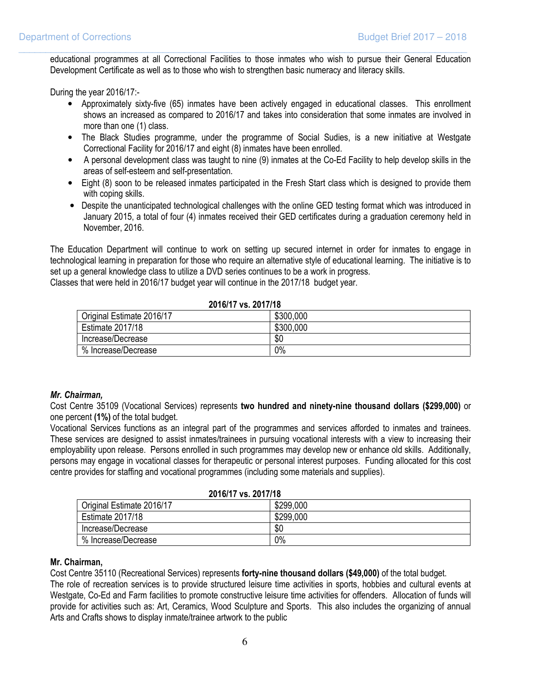educational programmes at all Correctional Facilities to those inmates who wish to pursue their General Education Development Certificate as well as to those who wish to strengthen basic numeracy and literacy skills.

\_\_\_\_\_\_\_\_\_\_\_\_\_\_\_\_\_\_\_\_\_\_\_\_\_\_\_\_\_\_\_\_\_\_\_\_\_\_\_\_\_\_\_\_\_\_\_\_\_\_\_\_\_\_\_\_\_\_\_\_\_\_\_\_\_\_\_\_\_\_\_\_\_\_\_\_\_\_\_\_\_\_\_\_

During the year 2016/17:-

- Approximately sixty-five (65) inmates have been actively engaged in educational classes. This enrollment shows an increased as compared to 2016/17 and takes into consideration that some inmates are involved in more than one (1) class.
- The Black Studies programme, under the programme of Social Sudies, is a new initiative at Westgate Correctional Facility for 2016/17 and eight (8) inmates have been enrolled.
- A personal development class was taught to nine (9) inmates at the Co-Ed Facility to help develop skills in the areas of self-esteem and self-presentation.
- Eight (8) soon to be released inmates participated in the Fresh Start class which is designed to provide them with coping skills.
- Despite the unanticipated technological challenges with the online GED testing format which was introduced in January 2015, a total of four (4) inmates received their GED certificates during a graduation ceremony held in November, 2016.

The Education Department will continue to work on setting up secured internet in order for inmates to engage in technological learning in preparation for those who require an alternative style of educational learning. The initiative is to set up a general knowledge class to utilize a DVD series continues to be a work in progress.

Classes that were held in 2016/17 budget year will continue in the 2017/18 budget year.

| EVIVIII VOLEVIIIIV        |           |
|---------------------------|-----------|
| Original Estimate 2016/17 | \$300,000 |
| <b>Estimate 2017/18</b>   | \$300,000 |
| Increase/Decrease         | \$0       |
| % Increase/Decrease       | 0%        |

### 2016/17 vs. 2017/18

#### Mr. Chairman,

 Cost Centre 35109 (Vocational Services) represents two hundred and ninety-nine thousand dollars (\$299,000) or one percent (1%) of the total budget.

 Vocational Services functions as an integral part of the programmes and services afforded to inmates and trainees. These services are designed to assist inmates/trainees in pursuing vocational interests with a view to increasing their employability upon release. Persons enrolled in such programmes may develop new or enhance old skills. Additionally, persons may engage in vocational classes for therapeutic or personal interest purposes. Funding allocated for this cost centre provides for staffing and vocational programmes (including some materials and supplies).

| 2016/17 vs. 2017/18       |           |
|---------------------------|-----------|
| Original Estimate 2016/17 | \$299,000 |
| Estimate 2017/18          | \$299,000 |
| Increase/Decrease         | \$0       |
| % Increase/Decrease       | 0%        |

#### Mr. Chairman,

Cost Centre 35110 (Recreational Services) represents forty-nine thousand dollars (\$49,000) of the total budget.

 The role of recreation services is to provide structured leisure time activities in sports, hobbies and cultural events at Westgate, Co-Ed and Farm facilities to promote constructive leisure time activities for offenders. Allocation of funds will provide for activities such as: Art, Ceramics, Wood Sculpture and Sports. This also includes the organizing of annual Arts and Crafts shows to display inmate/trainee artwork to the public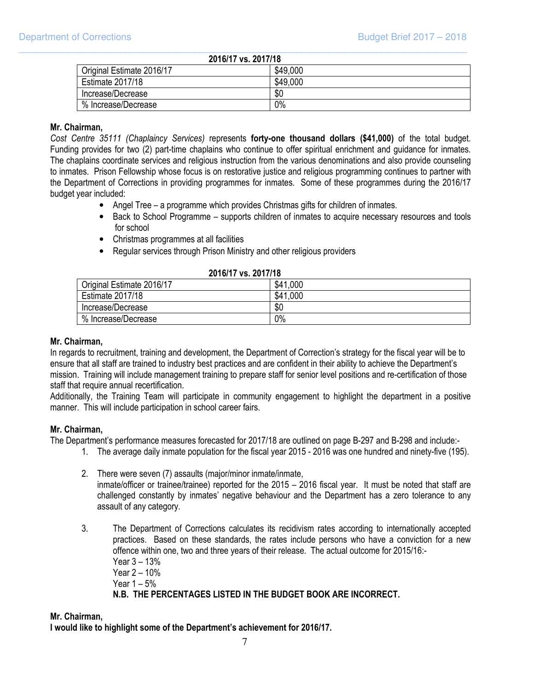| 2016/17 vs. 2017/18       |          |
|---------------------------|----------|
| Original Estimate 2016/17 | \$49,000 |
| <b>Estimate 2017/18</b>   | \$49,000 |
| Increase/Decrease         | \$0      |
| % Increase/Decrease       | 0%       |

\_\_\_\_\_\_\_\_\_\_\_\_\_\_\_\_\_\_\_\_\_\_\_\_\_\_\_\_\_\_\_\_\_\_\_\_\_\_\_\_\_\_\_\_\_\_\_\_\_\_\_\_\_\_\_\_\_\_\_\_\_\_\_\_\_\_\_\_\_\_\_\_\_\_\_\_\_\_\_\_\_\_\_\_

#### Mr. Chairman,

Cost Centre 35111 (Chaplaincy Services) represents forty-one thousand dollars (\$41,000) of the total budget. Funding provides for two (2) part-time chaplains who continue to offer spiritual enrichment and guidance for inmates. The chaplains coordinate services and religious instruction from the various denominations and also provide counseling to inmates. Prison Fellowship whose focus is on restorative justice and religious programming continues to partner with the Department of Corrections in providing programmes for inmates. Some of these programmes during the 2016/17 budget year included:

- Angel Tree a programme which provides Christmas gifts for children of inmates.
- Back to School Programme supports children of inmates to acquire necessary resources and tools for school
- Christmas programmes at all facilities
- Regular services through Prison Ministry and other religious providers

| LUIUIII VJ. LUIIIIU       |                |
|---------------------------|----------------|
| Original Estimate 2016/17 | \$41,000       |
| Estimate 2017/18          | .1,000<br>\$41 |
| Increase/Decrease         | \$0            |
| % Increase/Decrease       | 0%             |

#### 2016/17 vs. 2017/18

#### Mr. Chairman,

In regards to recruitment, training and development, the Department of Correction's strategy for the fiscal year will be to ensure that all staff are trained to industry best practices and are confident in their ability to achieve the Department's mission. Training will include management training to prepare staff for senior level positions and re-certification of those staff that require annual recertification.

 Additionally, the Training Team will participate in community engagement to highlight the department in a positive manner. This will include participation in school career fairs.

#### Mr. Chairman,

The Department's performance measures forecasted for 2017/18 are outlined on page B-297 and B-298 and include:-

- 1. The average daily inmate population for the fiscal year 2015 2016 was one hundred and ninety-five (195).
- 2. There were seven (7) assaults (major/minor inmate/inmate, inmate/officer or trainee/trainee) reported for the 2015 – 2016 fiscal year. It must be noted that staff are challenged constantly by inmates' negative behaviour and the Department has a zero tolerance to any assault of any category.
- 3. The Department of Corrections calculates its recidivism rates according to internationally accepted practices. Based on these standards, the rates include persons who have a conviction for a new offence within one, two and three years of their release. The actual outcome for 2015/16:- Year 3 – 13% Year 2 – 10% Year 1 – 5% N.B. THE PERCENTAGES LISTED IN THE BUDGET BOOK ARE INCORRECT.

#### Mr. Chairman,

I would like to highlight some of the Department's achievement for 2016/17.